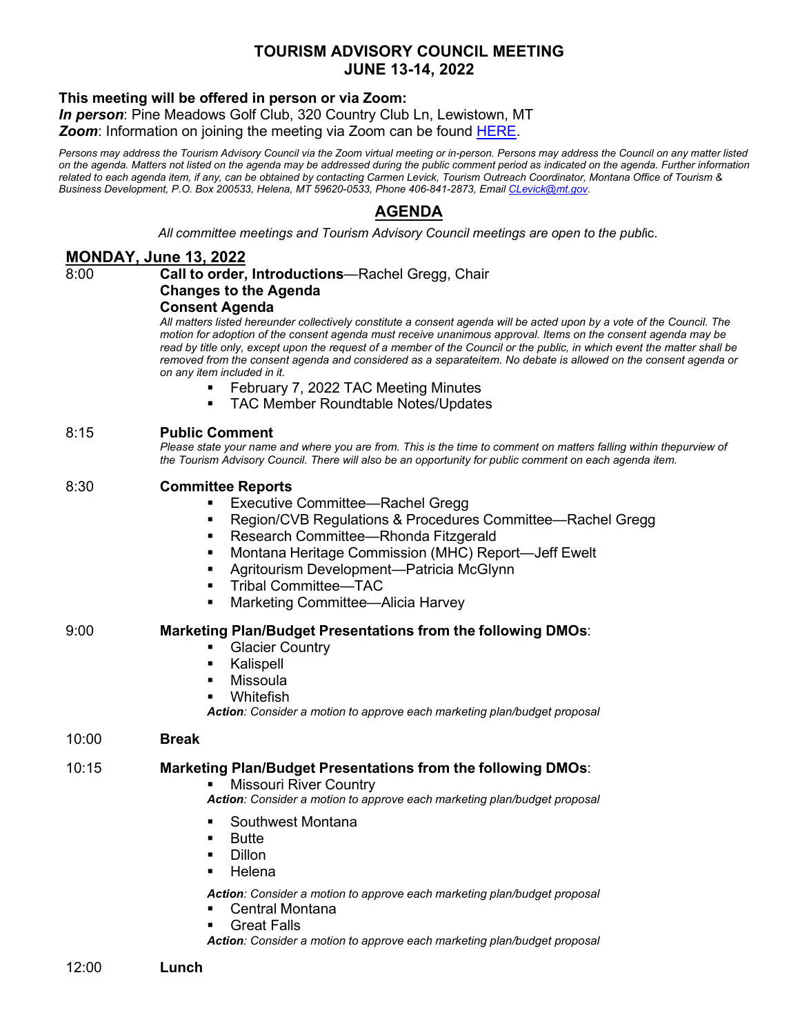# **TOURISM ADVISORY COUNCIL MEETING JUNE 13-14, 2022**

### **This meeting will be offered in person or via Zoom:**

*In person*: Pine Meadows Golf Club, 320 Country Club Ln, Lewistown, MT *Zoom*: Information on joining the meeting via Zoom can be found [HERE.](https://brand.mt.gov/Programs/Office-Of-Tourism/Tourism-Advisory-Council)

*Persons may address the Tourism Advisory Council via the Zoom virtual meeting or in-person. Persons may address the Council on any matter listed on the agenda. Matters not listed on the agenda may be addressed during the public comment period as indicated on the agenda. Further information related to each agenda item, if any, can be obtained by contacting Carmen Levick, Tourism Outreach Coordinator, Montana Office of Tourism & Business Development, P.O. Box 200533, Helena, MT 59620-0533, Phone 406-841-2873, Emai[l CLevick@mt.gov.](mailto:CLevick@mt.gov)*

# **AGENDA**

*All committee meetings and Tourism Advisory Council meetings are open to the publ*ic.

### **MONDAY, June 13, 2022**

#### 8:00 **Call to order, Introductions**—Rachel Gregg, Chair **Changes to the Agenda**

# **Consent Agenda**

*All matters listed hereunder collectively constitute a consent agenda will be acted upon by a vote of the Council. The motion for adoption of the consent agenda must receive unanimous approval. Items on the consent agenda may be read by title only, except upon the request of a member of the Council or the public, in which event the matter shall be removed from the consent agenda and considered as a separateitem. No debate is allowed on the consent agenda or on any item included in it.*

- February 7, 2022 TAC Meeting Minutes
- **TAC Member Roundtable Notes/Updates**

### 8:15 **Public Comment**

Please state your name and where you are from. This is the time to comment on matters falling within thepurview of *the Tourism Advisory Council. There will also be an opportunity for public comment on each agenda item.*

### 8:30 **Committee Reports**

- Executive Committee—Rachel Gregg
- Region/CVB Regulations & Procedures Committee—Rachel Gregg
- Research Committee—Rhonda Fitzgerald
- Montana Heritage Commission (MHC) Report—Jeff Ewelt
- Agritourism Development—Patricia McGlynn
- Tribal Committee—TAC
- Marketing Committee—Alicia Harvey

### 9:00 **Marketing Plan/Budget Presentations from the following DMOs**:

- Glacier Country
- **Kalispell**
- Missoula
- Whitefish

*Action: Consider a motion to approve each marketing plan/budget proposal*

#### 10:00 **Break**

#### 10:15 **Marketing Plan/Budget Presentations from the following DMOs**:

Missouri River Country

*Action: Consider a motion to approve each marketing plan/budget proposal*

- Southwest Montana
- Butte
- **Dillon**
- **Helena**

*Action: Consider a motion to approve each marketing plan/budget proposal*

- Central Montana
- Great Falls

*Action: Consider a motion to approve each marketing plan/budget proposal*